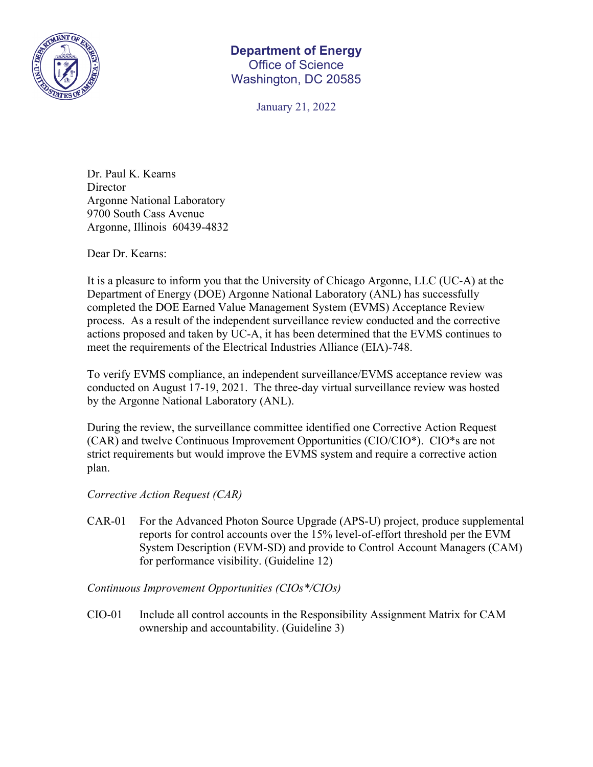

## **Department of Energy**  Office of Science Washington, DC 20585

January 21, 2022

Dr. Paul K. Kearns **Director** Argonne National Laboratory 9700 South Cass Avenue Argonne, Illinois 60439-4832

Dear Dr. Kearns:

It is a pleasure to inform you that the University of Chicago Argonne, LLC (UC-A) at the Department of Energy (DOE) Argonne National Laboratory (ANL) has successfully completed the DOE Earned Value Management System (EVMS) Acceptance Review process. As a result of the independent surveillance review conducted and the corrective actions proposed and taken by UC-A, it has been determined that the EVMS continues to meet the requirements of the Electrical Industries Alliance (EIA)-748.

To verify EVMS compliance, an independent surveillance/EVMS acceptance review was conducted on August 17-19, 2021. The three-day virtual surveillance review was hosted by the Argonne National Laboratory (ANL).

During the review, the surveillance committee identified one Corrective Action Request (CAR) and twelve Continuous Improvement Opportunities (CIO/CIO\*). CIO\*s are not strict requirements but would improve the EVMS system and require a corrective action plan.

*Corrective Action Request (CAR)* 

CAR-01 For the Advanced Photon Source Upgrade (APS-U) project, produce supplemental reports for control accounts over the 15% level-of-effort threshold per the EVM System Description (EVM-SD) and provide to Control Account Managers (CAM) for performance visibility. (Guideline 12)

*Continuous Improvement Opportunities (CIOs\*/CIOs)*

CIO-01 Include all control accounts in the Responsibility Assignment Matrix for CAM ownership and accountability. (Guideline 3)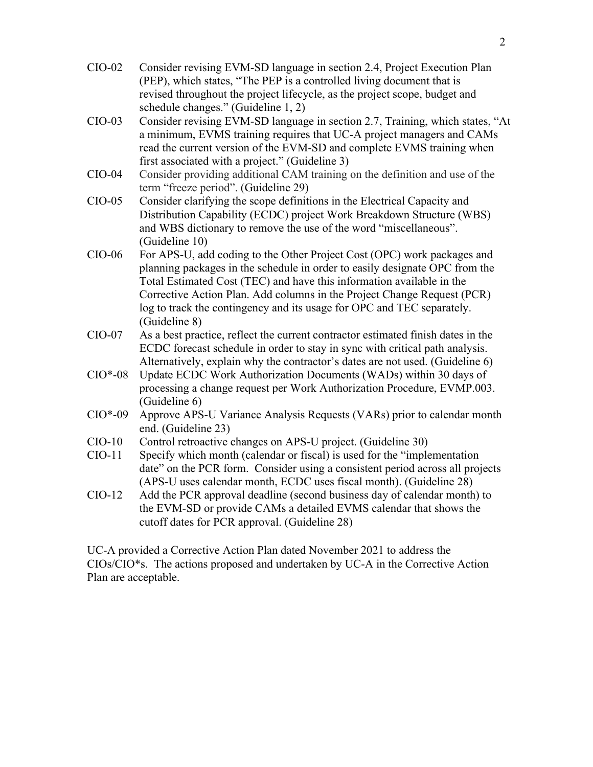- CIO-02 Consider revising EVM-SD language in section 2.4, Project Execution Plan (PEP), which states, "The PEP is a controlled living document that is revised throughout the project lifecycle, as the project scope, budget and schedule changes." (Guideline 1, 2)
- CIO-03 Consider revising EVM-SD language in section 2.7, Training, which states, "At a minimum, EVMS training requires that UC-A project managers and CAMs read the current version of the EVM-SD and complete EVMS training when first associated with a project." (Guideline 3)
- CIO-04 Consider providing additional CAM training on the definition and use of the term "freeze period". (Guideline 29)
- CIO-05 Consider clarifying the scope definitions in the Electrical Capacity and Distribution Capability (ECDC) project Work Breakdown Structure (WBS) and WBS dictionary to remove the use of the word "miscellaneous". (Guideline 10)
- CIO-06 For APS-U, add coding to the Other Project Cost (OPC) work packages and planning packages in the schedule in order to easily designate OPC from the Total Estimated Cost (TEC) and have this information available in the Corrective Action Plan. Add columns in the Project Change Request (PCR) log to track the contingency and its usage for OPC and TEC separately. (Guideline 8)
- CIO-07 As a best practice, reflect the current contractor estimated finish dates in the ECDC forecast schedule in order to stay in sync with critical path analysis. Alternatively, explain why the contractor's dates are not used. (Guideline 6)
- CIO\*-08 Update ECDC Work Authorization Documents (WADs) within 30 days of processing a change request per Work Authorization Procedure, EVMP.003. (Guideline 6)
- CIO\*-09 Approve APS-U Variance Analysis Requests (VARs) prior to calendar month end. (Guideline 23)
- CIO-10 Control retroactive changes on APS-U project. (Guideline 30)
- CIO-11 Specify which month (calendar or fiscal) is used for the "implementation date" on the PCR form. Consider using a consistent period across all projects (APS-U uses calendar month, ECDC uses fiscal month). (Guideline 28)
- CIO-12 Add the PCR approval deadline (second business day of calendar month) to the EVM-SD or provide CAMs a detailed EVMS calendar that shows the cutoff dates for PCR approval. (Guideline 28)

UC-A provided a Corrective Action Plan dated November 2021 to address the CIOs/CIO\*s. The actions proposed and undertaken by UC-A in the Corrective Action Plan are acceptable.